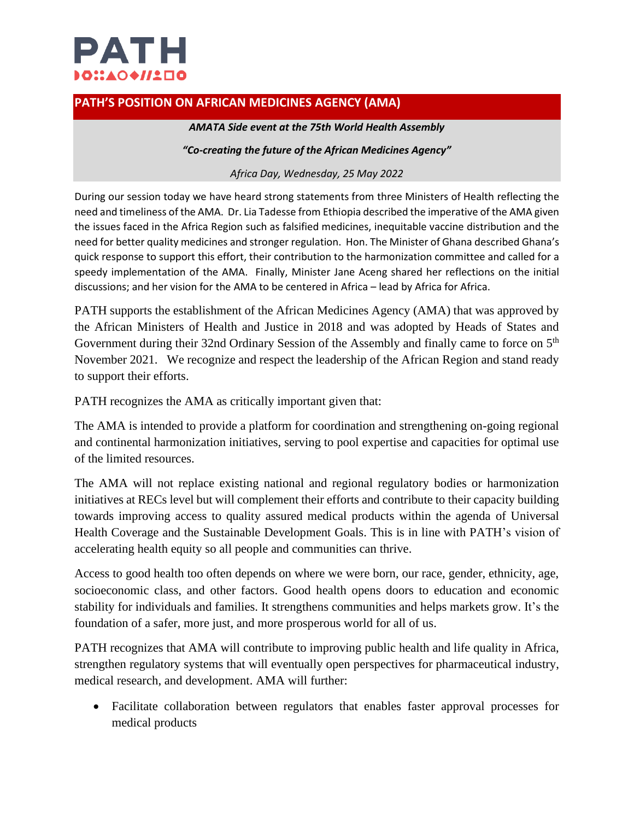

## **PATH'S POSITION ON AFRICAN MEDICINES AGENCY (AMA)**

## *AMATA Side event at the 75th World Health Assembly*

## *"Co-creating the future of the African Medicines Agency"*

## *Africa Day, Wednesday, 25 May 2022*

During our session today we have heard strong statements from three Ministers of Health reflecting the need and timeliness of the AMA. Dr. Lia Tadesse from Ethiopia described the imperative of the AMA given the issues faced in the Africa Region such as falsified medicines, inequitable vaccine distribution and the need for better quality medicines and stronger regulation. Hon. The Minister of Ghana described Ghana's quick response to support this effort, their contribution to the harmonization committee and called for a speedy implementation of the AMA. Finally, Minister Jane Aceng shared her reflections on the initial discussions; and her vision for the AMA to be centered in Africa – lead by Africa for Africa.

PATH supports the establishment of the African Medicines Agency (AMA) that was approved by the African Ministers of Health and Justice in 2018 and was adopted by Heads of States and Government during their 32nd Ordinary Session of the Assembly and finally came to force on 5<sup>th</sup> November 2021. We recognize and respect the leadership of the African Region and stand ready to support their efforts.

PATH recognizes the AMA as critically important given that:

The AMA is intended to provide a platform for coordination and strengthening on-going regional and continental harmonization initiatives, serving to pool expertise and capacities for optimal use of the limited resources.

The AMA will not replace existing national and regional regulatory bodies or harmonization initiatives at RECs level but will complement their efforts and contribute to their capacity building towards improving access to quality assured medical products within the agenda of Universal Health Coverage and the Sustainable Development Goals. This is in line with PATH's vision of accelerating health equity so all people and communities can thrive.

Access to good health too often depends on where we were born, our race, gender, ethnicity, age, socioeconomic class, and other factors. Good health opens doors to education and economic stability for individuals and families. It strengthens communities and helps markets grow. It's the foundation of a safer, more just, and more prosperous world for all of us.

PATH recognizes that AMA will contribute to improving public health and life quality in Africa, strengthen regulatory systems that will eventually open perspectives for pharmaceutical industry, medical research, and development. AMA will further:

• Facilitate collaboration between regulators that enables faster approval processes for medical products